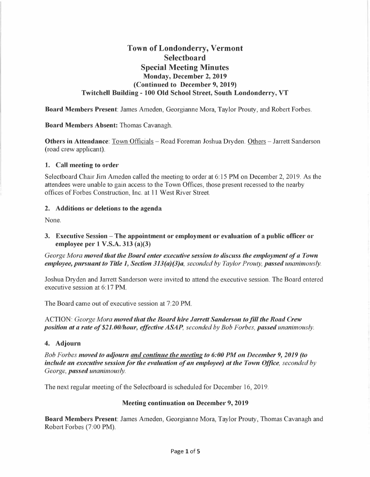# **Town of Londonderry, Vermont Selectboard Special Meeting Minutes Monday, December 2, 2019 (Continued to December 9, 2019) Twitchell Building - 100 Old School Street, South Londonderry, VT**

**Board Members Present:** James Ameden, Georgianne Mora, Taylor Prouty, and Robert Forbes.

**Board Members Absent:** Thomas Cavanagh.

**Others in Attendance:** Town Officials – Road Foreman Joshua Dryden. Others – Jarrett Sanderson (road crew applicant).

#### **1. Call meeting to order**

Selectboard Chair Jim Ameden called the meeting to order at 6: 15 PM on December 2, 2019. As the attendees were unable to gain access to the Town Offices, those present recessed to the nearby offices of Forbes Construction, Inc. at 11 West River Street.

### **2. Additions or deletions to the agenda**

None.

**3. Executive Session -The appointment or employment or evaluation of a public officer or employee per 1 V.S.A. 313 (a)(3)** 

*George Mora moved that the Board enter executive session to discuss the employment of a Town employee, pursuant to Title 1, Section 313(a)(3)a, seconded by Taylor Prouty, passed unanimously.* 

Joshua Dryden and Jarrett Sanderson were invited to attend the executive session. The Board entered executive session at 6: 17 PM.

The Board came out of executive session at 7:20 PM.

ACTION: *George Mora moved that the Board hire Jarrett Sanderson to.fill the Road Crew position at a rate of \$21.00/hour, effective ASAP, seconded by Bob Forbes, passed unanimously.* 

### **4. Adjourn**

*Bob Forbes moved to adjourn and continue the meeting to 6:00 PM on December 9, 2019 (to include an executive session for the evaluation of an employee) at the Town Office, seconded by George, passed unanimously.* 

The next regular meeting of the Selectboard is scheduled for December 16, 2019.

#### **Meeting continuation on December 9, 2019**

**Board Members Present:** James Ameden, Georgianne Mora, Taylor Prouty, Thomas Cavanagh and Robert Forbes (7:00 PM).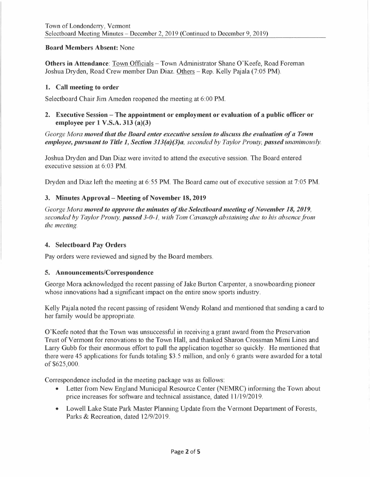### **Board Members Absent:** None

**Others in Attendance:** Town Officials - Town Administrator Shane O'Keefe, Road Foreman Joshua Dryden, Road Crew member Dan Diaz. Others -Rep. Kelly Pajala (7:05 PM).

#### **1. Call meeting to order**

Selectboard Chair Jim Ameden reopened the meeting at 6:00 PM.

### **2. Executive Session - The appointment or employment or evaluation of a public officer or employee per 1 V.S.A. 313 (a)(3)**

*George Mora moved that the Board enter executive session to discuss the evaluation of a Town employee, pursuant to Title 1, Section 313(a)(3)a, seconded by Taylor Prouty, passed unanimously.* 

Joshua Dryden and Dan Diaz were invited to attend the executive session. The Board entered executive session at 6:03 PM.

Dryden and Diaz left the meeting at 6:55 PM. The Board came out of executive session at 7:05 PM.

### **3. Minutes Approval- Meeting of November 18, 2019**

*George Mora moved to approve the minutes of the Selectboard meeting of November 18, 2019, seconded by Taylor Prouty, passed 3-0-1, with Tom Cavanagh abstaining due to his absence from the meeting.* 

#### **4. Selectboard Pay Orders**

Pay orders were reviewed and signed by the Board members.

#### **5. Announcements/Correspondence**

George Mora acknowledged the recent passing of Jake Burton Carpenter, a snowboarding pioneer whose innovations had a significant impact on the entire snow sports industry.

Kelly Pajala noted the recent passing of resident Wendy Roland and mentioned that sending a card to her family would be appropriate.

O'Keefe noted that the Town was unsuccessful in receiving a grant award from the Preservation Trust of Vermont for renovations to the Town Hall, and thanked Sharon Crossman Mimi Lines and Larry Gubb for their enormous effort to pull the application together so quickly. He mentioned that there were 45 applications for funds totaling \$3.5 million, and only 6 grants were awarded for a total of \$625,000.

Correspondence included in the meeting package was as follows:

- Letter from New England Municipal Resource Center (NEMRC) informing the Town about price increases for software and technical assistance, dated 11/19/2019.
- Lowell Lake State Park Master Planning Update from the Vermont Department of Forests, Parks & Recreation, dated 12/9/2019.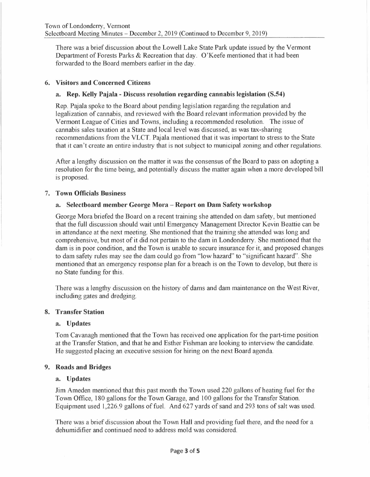There was a brief discussion about the Lowell Lake State Park update issued by the Vermont Department of Forests Parks & Recreation that day. O'Keefe mentioned that it had been forwarded to the Board members earlier in the day.

### **6. Visitors and Concerned Citizens**

### **a. Rep. Kelly Pajala - Discuss resolution regarding cannabis legislation (S.54)**

Rep. Pajala spoke to the Board about pending legislation regarding the regulation and legalization of cannabis, and reviewed with the Board relevant information provided by the Vermont League of Cities and Towns, including a recommended resolution. The issue of cannabis sales taxation at a State and local level was discussed, as was tax-sharing recommendations from the VLCT. Pajala mentioned that it was important to stress to the State that it can't create an entire industry that is not subject to municipal zoning and other regulations.

After a lengthy discussion on the matter it was the consensus of the Board to pass on adopting a resolution for the time being, and potentially discuss the matter again when a more developed bill is proposed.

### 7. **Town Officials Business**

### **a. Selectboard member George Mora - Report on Dam Safety workshop**

George Mora briefed the Board on a recent training she attended on dam safety, but mentioned that the full discussion should wait until Emergency Management Director Kevin Beattie can be in attendance at the next meeting. She mentioned that the training she attended was long and comprehensive, but most of it did not pertain to the dam in Londonderry. She mentioned that the dam is in poor condition, and the Town is unable to secure insurance for it, and proposed changes to dam safety rules may see the dam could go from "low hazard" to "significant hazard". She mentioned that an emergency response plan for a breach is on the Town to develop, but there is no State funding for this.

There was a lengthy discussion on the history of dams and dam maintenance on the West River, including gates and dredging.

#### **8. Transfer Station**

#### **a. Updates**

Tom Cavanagh mentioned that the Town has received one application for the part-time position at the Transfer Station, and that he and Esther Fishman are looking to interview the candidate. He suggested placing an executive session for hiring on the next Board agenda.

### **9. Roads and Bridges**

#### **a. Updates**

Jim Ameden mentioned that this past month the Town used 220 gallons of heating fuel for the Town Office, 180 gallons for the Town Garage, and 100 gallons for the Transfer Station. Equipment used 1,226.9 gallons of fuel. And 627 yards of sand and 293 tons of salt was used.

There was a brief discussion about the Town Hall and providing fuel there, and the need for a dehumidifier and continued need to address mold was considered.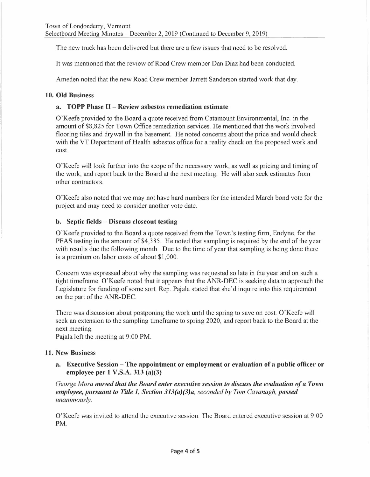The new truck has been delivered but there are a few issues that need to be resolved.

It was mentioned that the review of Road Crew member Dan Diaz had been conducted.

Ameden noted that the new Road Crew member Jarrett Sanderson started work that day.

### **10. Old Business**

### **a. TOPP Phase** II - **Review asbestos remediation estimate**

O'Keefe provided to the Board a quote received from Catamount Environmental, Inc. in the amount of \$8,825 for Town Office remediation services. He mentioned that the work involved flooring tiles and drywall in the basement. He noted concerns about the price and would check with the VT Department of Health asbestos office for a reality check on the proposed work and cost.

O'Keefe will look further into the scope of the necessary work, as well as pricing and timing of the work, and report back to the Board at the next meeting. He will also seek estimates from other contractors.

O'Keefe also noted that we may not have hard numbers for the intended March bond vote for the project and may need to consider another vote date.

#### **b. Septic fields - Discuss closeout testing**

O'Keefe provided to the Board a quote received from the Town's testing firm, Endyne, for the PFAS testing in the amount of \$4,385. He noted that sampling is required by the end of the year with results due the following month. Due to the time of year that sampling is being done there is a premium on labor costs of about \$1,000.

Concern was expressed about why the sampling was requested so late in the year and on such a tight timeframe. O'Keefe noted that it appears that the ANR-DEC is seeking data to approach the Legislature for funding of some sort. Rep. Pajala stated that she'd inquire into this requirement on the part of the ANR-DEC.

There was discussion about postponing the work until the spring to save on cost. O'Keefe will seek an extension to the sampling timeframe to spring 2020, and report back to the Board at the next meeting.

Pajala left the meeting at 9:00 PM.

#### **11. New Business**

**a. Executive Session - The appointment or employment or evaluation of a public officer or employee per 1 V.S.A. 313 (a)(3)** 

*George Mora moved that the Board enter executive session to discuss the evaluation of a Town employee, pursuant to Title 1, Section 313(a)(3)a, seconded by Tom Cavanagh, passed unanimously.* 

O'Keefe was invited to attend the executive session. The Board entered executive session at 9:00 **PM.**